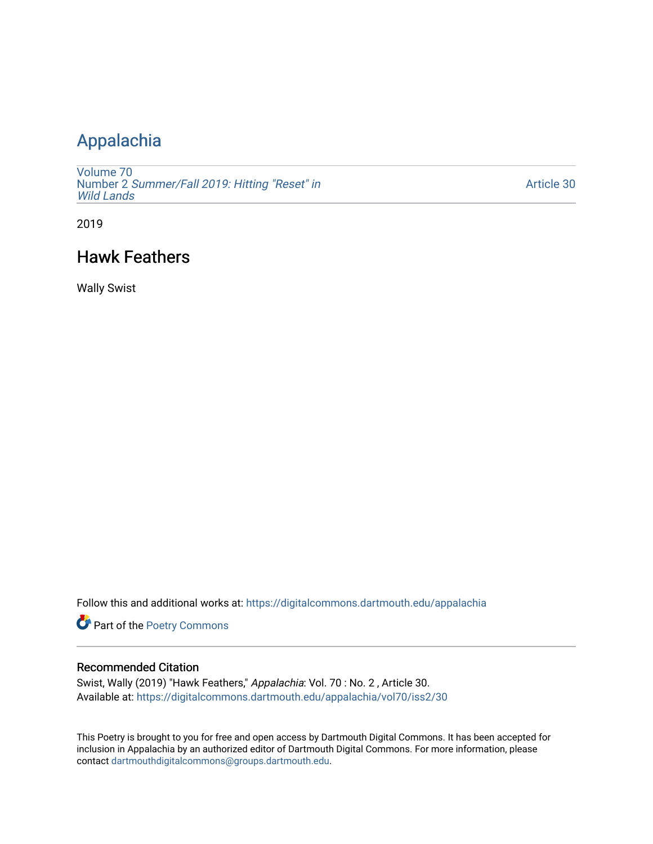## [Appalachia](https://digitalcommons.dartmouth.edu/appalachia)

[Volume 70](https://digitalcommons.dartmouth.edu/appalachia/vol70) Number 2 [Summer/Fall 2019: Hitting "Reset" in](https://digitalcommons.dartmouth.edu/appalachia/vol70/iss2) [Wild Lands](https://digitalcommons.dartmouth.edu/appalachia/vol70/iss2) 

[Article 30](https://digitalcommons.dartmouth.edu/appalachia/vol70/iss2/30) 

2019

## Hawk Feathers

Wally Swist

Follow this and additional works at: [https://digitalcommons.dartmouth.edu/appalachia](https://digitalcommons.dartmouth.edu/appalachia?utm_source=digitalcommons.dartmouth.edu%2Fappalachia%2Fvol70%2Fiss2%2F30&utm_medium=PDF&utm_campaign=PDFCoverPages)

Part of the [Poetry Commons](http://network.bepress.com/hgg/discipline/1153?utm_source=digitalcommons.dartmouth.edu%2Fappalachia%2Fvol70%2Fiss2%2F30&utm_medium=PDF&utm_campaign=PDFCoverPages) 

## Recommended Citation

Swist, Wally (2019) "Hawk Feathers," Appalachia: Vol. 70 : No. 2 , Article 30. Available at: [https://digitalcommons.dartmouth.edu/appalachia/vol70/iss2/30](https://digitalcommons.dartmouth.edu/appalachia/vol70/iss2/30?utm_source=digitalcommons.dartmouth.edu%2Fappalachia%2Fvol70%2Fiss2%2F30&utm_medium=PDF&utm_campaign=PDFCoverPages) 

This Poetry is brought to you for free and open access by Dartmouth Digital Commons. It has been accepted for inclusion in Appalachia by an authorized editor of Dartmouth Digital Commons. For more information, please contact [dartmouthdigitalcommons@groups.dartmouth.edu.](mailto:dartmouthdigitalcommons@groups.dartmouth.edu)